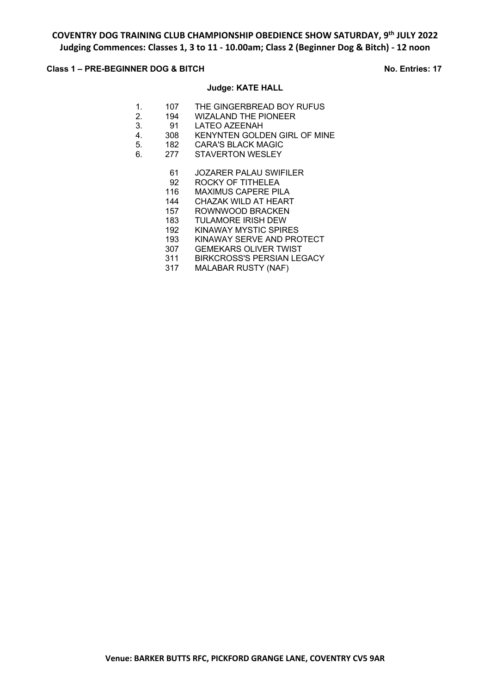## **Class 1 – PRE-BEGINNER DOG & BITCH No. Entries: 17**

### **Judge: KATE HALL**

- 1. 107 THE GINGERBREAD BOY RUFUS
- 2. 194 WIZALAND THE PIONEER<br>3. 91 LATEO AZEENAH
- 3. 91 LATEO AZEENAH<br>4. 308 KENYNTEN GOLD
- 4. 308 KENYNTEN GOLDEN GIRL OF MINE<br>5. 182 CARA'S BLACK MAGIC
- 182 CARA'S BLACK MAGIC
- 6. 277 STAVERTON WESLEY

### 61 JOZARER PALAU SWIFILER

- 92 ROCKY OF TITHELEA
- 116 MAXIMUS CAPERE PILA
- 144 CHAZAK WILD AT HEART
- 157 ROWNWOOD BRACKEN<br>183 TULAMORE IRISH DEW
- 
- 183 TULAMORE IRISH DEW<br>192 KINAWAY MYSTIC SPIR KINAWAY MYSTIC SPIRES
- 193 KINAWAY SERVE AND PROTECT
- 
- 307 GEMEKARS OLIVER TWIST<br>311 BIRKCROSS'S PERSIAN LE BIRKCROSS'S PERSIAN LEGACY
- 317 MALABAR RUSTY (NAF)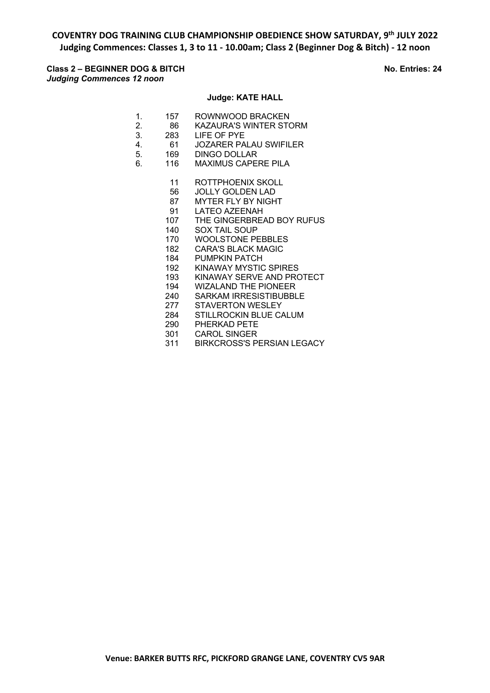## **Class 2 – BEGINNER DOG & BITCH No. Entries: 24** *Judging Commences 12 noon*

### **Judge: KATE HALL**

- 1. 157 ROWNWOOD BRACKEN
- 2. 86 KAZAURA'S WINTER STORM
- 3. 283 LIFE OF PYE
- 4. 61 JOZARER PALAU SWIFILER
- 5. 169 DINGO DOLLAR
- 6. 116 MAXIMUS CAPERE PILA
	- 11 ROTTPHOENIX SKOLL
	- 56 JOLLY GOLDEN LAD
	- 87 MYTER FLY BY NIGHT
	- 91 LATEO AZEENAH<br>107 THE GINGERBRE
	- 107 THE GINGERBREAD BOY RUFUS<br>140 SOX TAIL SOUP
	- SOX TAIL SOUP
	- 170 WOOLSTONE PEBBLES
	- 182 CARA'S BLACK MAGIC
	- 184 PUMPKIN PATCH
	- 192 KINAWAY MYSTIC SPIRES
	- 193 KINAWAY SERVE AND PROTECT
	- 194 WIZALAND THE PIONEER
	- 240 SARKAM IRRESISTIBUBBLE
	- 277 STAVERTON WESLEY
	- 284 STILLROCKIN BLUE CALUM<br>290 PHERKAD PETE
	- PHERKAD PETE
	- 301 CAROL SINGER 311 BIRKCROSS'S PERSIAN LEGACY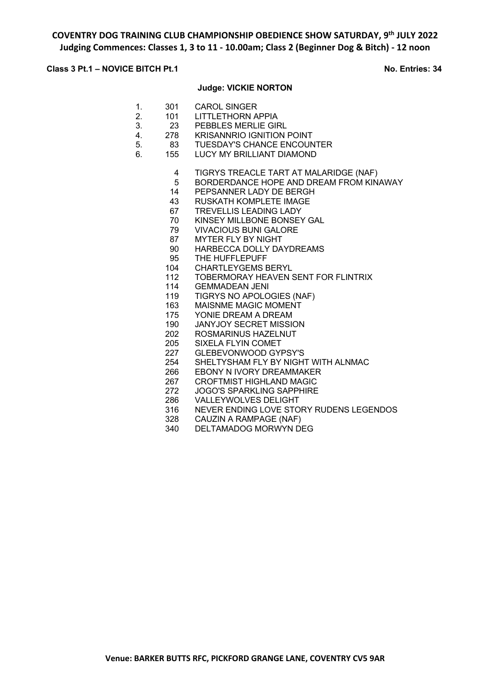### **Class 3 Pt.1 – NOVICE BITCH Pt.1 No. Entries: 34**

#### **Judge: VICKIE NORTON**

- 1. 301 CAROL SINGER
- 2. 101 LITTLETHORN APPIA
- 3. 23 PEBBLES MERLIE GIRL<br>4. 278 KRISANNRIO IGNITION
- 4. 278 KRISANNRIO IGNITION POINT
- 5. 83 TUESDAY'S CHANCE ENCOUNTER
- 6. 155 LUCY MY BRILLIANT DIAMOND
	- 4 TIGRYS TREACLE TART AT MALARIDGE (NAF)
	- 5 BORDERDANCE HOPE AND DREAM FROM KINAWAY
	- 14 PEPSANNER LADY DE BERGH
	- 43 RUSKATH KOMPLETE IMAGE
	- 67 TREVELLIS LEADING LADY<br>70 KINSEY MILLBONE BONSEY
	- KINSEY MILLBONE BONSEY GAL
	- 79 VIVACIOUS BUNI GALORE
	- 87 MYTER FLY BY NIGHT
	- 90 HARBECCA DOLLY DAYDREAMS
	- 95 THE HUFFLEPUFF
	- 104 CHARTLEYGEMS BERYL
	- 112 TOBERMORAY HEAVEN SENT FOR FLINTRIX
	- 114 GEMMADEAN JENI
	- 119 TIGRYS NO APOLOGIES (NAF)
	- 163 MAISNME MAGIC MOMENT
	- 175 YONIE DREAM A DREAM
	- 190 JANYJOY SECRET MISSION
	- 202 ROSMARINUS HAZELNUT
	- 205 SIXELA FLYIN COMET
	- 227 GLEBEVONWOOD GYPSY'S
	- 254 SHELTYSHAM FLY BY NIGHT WITH ALNMAC
	- 266 EBONY N IVORY DREAMMAKER
	- 267 CROFTMIST HIGHLAND MAGIC
	- 272 JOGO'S SPARKLING SAPPHIRE
	- 286 VALLEYWOLVES DELIGHT
	- 316 NEVER ENDING LOVE STORY RUDENS LEGENDOS<br>328 CAUZIN A RAMPAGE (NAF)
	- 328 CAUZIN A RAMPAGE (NAF)<br>340 DELTAMADOG MORWYN DI
	- DELTAMADOG MORWYN DEG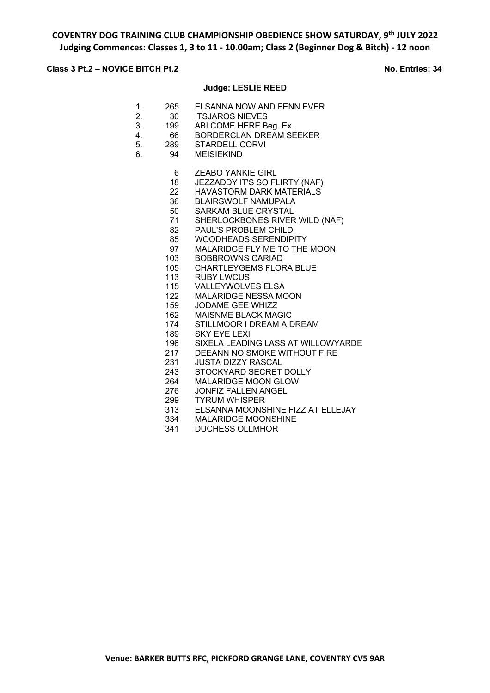## **Class 3 Pt.2 – NOVICE BITCH Pt.2 No. Entries: 34**

### **Judge: LESLIE REED**

- 1. 265 ELSANNA NOW AND FENN EVER<br>2 30 ITSJAROS NIEVES
- 2. 30 ITSJAROS NIEVES
- 3. 199 ABI COME HERE Beg. Ex.<br>4. 66 BORDERCLAN DREAM SE
- 4. 66 BORDERCLAN DREAM SEEKER
- 5. 289 STARDELL CORVI
- 6. 94 MEISIEKIND
	- 6 ZEABO YANKIE GIRL
	- 18 JEZZADDY IT'S SO FLIRTY (NAF)
	- 22 HAVASTORM DARK MATERIALS
	- 36 BLAIRSWOLF NAMUPALA
	-
	- 50 SARKAM BLUE CRYSTAL<br>71 SHERLOCKBONES RIVER SHERLOCKBONES RIVER WILD (NAF)
	- 82 PAUL'S PROBLEM CHILD
	- 85 WOODHEADS SERENDIPITY
	- 97 MALARIDGE FLY ME TO THE MOON
	- 103 BOBBROWNS CARIAD
	- 105 CHARTLEYGEMS FLORA BLUE
	- 113 RUBY LWCUS
	- 115 VALLEYWOLVES ELSA
	- 122 MALARIDGE NESSA MOON
	- 159 JODAME GEE WHIZZ
	- 162 MAISNME BLACK MAGIC
	- 174 STILLMOOR I DREAM A DREAM
	- 189 SKY EYE LEXI
	- 196 SIXELA LEADING LASS AT WILLOWYARDE
	- 217 DEEANN NO SMOKE WITHOUT FIRE
	- 231 JUSTA DIZZY RASCAL
	- 243 STOCKYARD SECRET DOLLY
	- 264 MALARIDGE MOON GLOW
	- 276 JONFIZ FALLEN ANGEL
	- 299 TYRUM WHISPER
	- 313 ELSANNA MOONSHINE FIZZ AT ELLEJAY<br>334 MALARIDGE MOONSHINE
	- 334 MALARIDGE MOONSHINE<br>341 DUCHESS OLLMHOR
	- DUCHESS OLLMHOR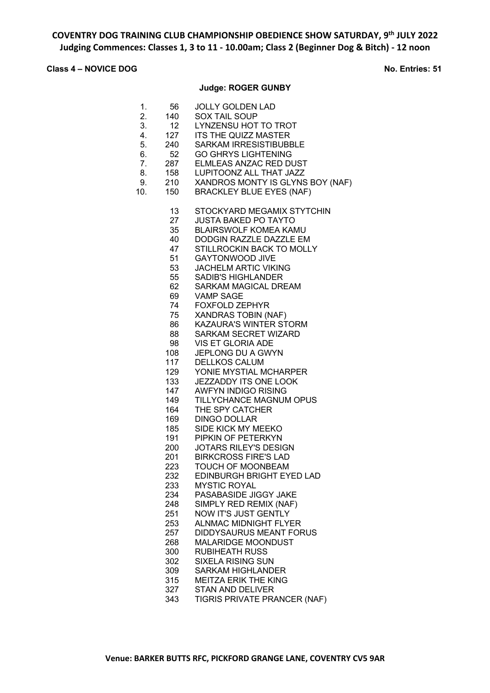# **Class 4 – NOVICE DOG No. Entries: 51**

## **Judge: ROGER GUNBY**

| 1.<br>2.<br>3.<br>4.<br>5.<br>6.<br>7.<br>8.<br>9.<br>10. | 56<br>140<br>12<br>127<br>240<br>52<br>287<br>158<br>210<br>150                                                                                                                                                                                                                     | <b>JOLLY GOLDEN LAD</b><br>SOX TAIL SOUP<br>LYNZENSU HOT TO TROT<br>ITS THE QUIZZ MASTER<br><b>SARKAM IRRESISTIBUBBLE</b><br><b>GO GHRYS LIGHTENING</b><br>ELMLEAS ANZAC RED DUST<br>LUPITOONZ ALL THAT JAZZ<br>XANDROS MONTY IS GLYNS BOY (NAF)<br><b>BRACKLEY BLUE EYES (NAF)</b>                                                                                                                                                                                                                                                                                                                                                                                                                                                                                                                                                                                                                                                                                                                                                                                                                                                                                         |
|-----------------------------------------------------------|-------------------------------------------------------------------------------------------------------------------------------------------------------------------------------------------------------------------------------------------------------------------------------------|-----------------------------------------------------------------------------------------------------------------------------------------------------------------------------------------------------------------------------------------------------------------------------------------------------------------------------------------------------------------------------------------------------------------------------------------------------------------------------------------------------------------------------------------------------------------------------------------------------------------------------------------------------------------------------------------------------------------------------------------------------------------------------------------------------------------------------------------------------------------------------------------------------------------------------------------------------------------------------------------------------------------------------------------------------------------------------------------------------------------------------------------------------------------------------|
|                                                           | 13<br>27<br>35<br>40<br>47<br>51<br>53<br>55<br>62<br>69<br>74<br>75<br>86<br>88<br>98<br>108<br>117<br>129<br>133<br>147<br>149<br>164<br>169<br>185<br>191<br>200<br>201<br>223<br>232<br>233<br>234<br>248<br>251<br>253<br>257<br>268<br>300<br>302<br>309<br>315<br>327<br>343 | STOCKYARD MEGAMIX STYTCHIN<br><b>JUSTA BAKED PO TAYTO</b><br><b>BLAIRSWOLF KOMEA KAMU</b><br>DODGIN RAZZLE DAZZLE EM<br>STILLROCKIN BACK TO MOLLY<br><b>GAYTONWOOD JIVE</b><br><b>JACHELM ARTIC VIKING</b><br><b>SADIB'S HIGHLANDER</b><br><b>SARKAM MAGICAL DREAM</b><br><b>VAMP SAGE</b><br><b>FOXFOLD ZEPHYR</b><br>XANDRAS TOBIN (NAF)<br><b>KAZAURA'S WINTER STORM</b><br><b>SARKAM SECRET WIZARD</b><br><b>VIS ET GLORIA ADE</b><br>JEPLONG DU A GWYN<br>DELLKOS CALUM<br>YONIE MYSTIAL MCHARPER<br>JEZZADDY ITS ONE LOOK<br><b>AWFYN INDIGO RISING</b><br>TILLYCHANCE MAGNUM OPUS<br>THE SPY CATCHER<br><b>DINGO DOLLAR</b><br>SIDE KICK MY MEEKO<br>PIPKIN OF PETERKYN<br>JOTARS RILEY'S DESIGN<br><b>BIRKCROSS FIRE'S LAD</b><br>TOUCH OF MOONBEAM<br>EDINBURGH BRIGHT EYED LAD<br><b>MYSTIC ROYAL</b><br>PASABASIDE JIGGY JAKE<br>SIMPLY RED REMIX (NAF)<br><b>NOW IT'S JUST GENTLY</b><br><b>ALNMAC MIDNIGHT FLYER</b><br><b>DIDDYSAURUS MEANT FORUS</b><br><b>MALARIDGE MOONDUST</b><br><b>RUBIHEATH RUSS</b><br><b>SIXELA RISING SUN</b><br><b>SARKAM HIGHLANDER</b><br><b>MEITZA ERIK THE KING</b><br><b>STAN AND DELIVER</b><br>TIGRIS PRIVATE PRANCER (NAF) |
|                                                           |                                                                                                                                                                                                                                                                                     |                                                                                                                                                                                                                                                                                                                                                                                                                                                                                                                                                                                                                                                                                                                                                                                                                                                                                                                                                                                                                                                                                                                                                                             |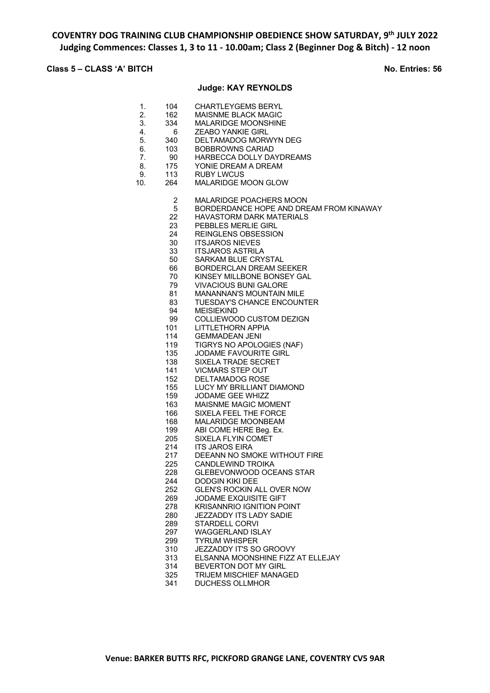# **Class 5 – CLASS 'A' BITCH No. Entries: 56**

### **Judge: KAY REYNOLDS**

| 1.<br>2.<br>3.<br>4.<br>5.<br>6.<br>7.<br>8.<br>9.<br>10. | 104<br>162<br>334<br>6.<br>340<br>103<br>90<br>175<br>113<br>264 | <b>CHARTLEYGEMS BERYL</b><br><b>MAISNME BLACK MAGIC</b><br><b>MALARIDGE MOONSHINE</b><br><b>ZEABO YANKIE GIRL</b><br>DELTAMADOG MORWYN DEG<br><b>BOBBROWNS CARIAD</b><br>HARBECCA DOLLY DAYDREAMS<br>YONIE DREAM A DREAM<br><b>RUBY LWCUS</b><br>MALARIDGE MOON GLOW |
|-----------------------------------------------------------|------------------------------------------------------------------|----------------------------------------------------------------------------------------------------------------------------------------------------------------------------------------------------------------------------------------------------------------------|
|                                                           | 2                                                                | MALARIDGE POACHERS MOON                                                                                                                                                                                                                                              |
|                                                           | 5                                                                | BORDERDANCE HOPE AND DREAM FROM KINAWAY                                                                                                                                                                                                                              |
|                                                           | 22                                                               | <b>HAVASTORM DARK MATERIALS</b>                                                                                                                                                                                                                                      |
|                                                           | 23                                                               | PEBBLES MERLIE GIRL                                                                                                                                                                                                                                                  |
|                                                           | 24                                                               | REINGLENS OBSESSION                                                                                                                                                                                                                                                  |
|                                                           | 30                                                               | <b>ITSJAROS NIEVES</b>                                                                                                                                                                                                                                               |
|                                                           | 33                                                               | <b>ITSJAROS ASTRILA</b>                                                                                                                                                                                                                                              |
|                                                           | 50                                                               | SARKAM BLUE CRYSTAL                                                                                                                                                                                                                                                  |
|                                                           | 66                                                               | BORDERCLAN DREAM SEEKER                                                                                                                                                                                                                                              |
|                                                           | 70                                                               | KINSEY MILLBONE BONSEY GAL                                                                                                                                                                                                                                           |
|                                                           | 79                                                               | <b>VIVACIOUS BUNI GALORE</b>                                                                                                                                                                                                                                         |
|                                                           | 81                                                               | <b>MANANNAN'S MOUNTAIN MILE</b>                                                                                                                                                                                                                                      |
|                                                           | 83                                                               | TUESDAY'S CHANCE ENCOUNTER                                                                                                                                                                                                                                           |
|                                                           | 94                                                               | <b>MEISIEKIND</b>                                                                                                                                                                                                                                                    |
|                                                           | 99                                                               | COLLIEWOOD CUSTOM DEZIGN<br><b>LITTLETHORN APPIA</b>                                                                                                                                                                                                                 |
|                                                           | 101<br>114                                                       | <b>GEMMADEAN JENI</b>                                                                                                                                                                                                                                                |
|                                                           | 119                                                              | TIGRYS NO APOLOGIES (NAF)                                                                                                                                                                                                                                            |
|                                                           | 135                                                              | JODAME FAVOURITE GIRL                                                                                                                                                                                                                                                |
|                                                           | 138                                                              | <b>SIXELA TRADE SECRET</b>                                                                                                                                                                                                                                           |
|                                                           | 141                                                              | <b>VICMARS STEP OUT</b>                                                                                                                                                                                                                                              |
|                                                           | 152                                                              | <b>DELTAMADOG ROSE</b>                                                                                                                                                                                                                                               |
|                                                           | 155                                                              | LUCY MY BRILLIANT DIAMOND                                                                                                                                                                                                                                            |
|                                                           | 159                                                              | JODAME GEE WHIZZ                                                                                                                                                                                                                                                     |
|                                                           | 163                                                              | <b>MAISNME MAGIC MOMENT</b>                                                                                                                                                                                                                                          |
|                                                           | 166                                                              | SIXELA FEEL THE FORCE                                                                                                                                                                                                                                                |
|                                                           | 168                                                              | MALARIDGE MOONBEAM                                                                                                                                                                                                                                                   |
|                                                           | 199                                                              | ABI COME HERE Beg. Ex.                                                                                                                                                                                                                                               |
|                                                           | 205                                                              | SIXELA FLYIN COMET                                                                                                                                                                                                                                                   |
|                                                           | 214                                                              | <b>ITS JAROS EIRA</b>                                                                                                                                                                                                                                                |
|                                                           | 217                                                              | DEEANN NO SMOKE WITHOUT FIRE                                                                                                                                                                                                                                         |
|                                                           | 225                                                              | CANDLEWIND TROIKA                                                                                                                                                                                                                                                    |
|                                                           | 228                                                              | GLEBEVONWOOD OCEANS STAR                                                                                                                                                                                                                                             |
|                                                           | 244                                                              | DODGIN KIKI DEE                                                                                                                                                                                                                                                      |
|                                                           | 252                                                              | <b>GLEN'S ROCKIN ALL OVER NOW</b>                                                                                                                                                                                                                                    |
|                                                           | 269                                                              | <b>JODAME EXQUISITE GIFT</b>                                                                                                                                                                                                                                         |
|                                                           | 278                                                              | <b>KRISANNRIO IGNITION POINT</b>                                                                                                                                                                                                                                     |
|                                                           | 280                                                              | JEZZADDY ITS LADY SADIE                                                                                                                                                                                                                                              |
|                                                           | 289                                                              | <b>STARDELL CORVI</b>                                                                                                                                                                                                                                                |
|                                                           | 297                                                              | <b>WAGGERLAND ISLAY</b>                                                                                                                                                                                                                                              |
|                                                           | 299                                                              | <b>TYRUM WHISPER</b>                                                                                                                                                                                                                                                 |
|                                                           | 310                                                              | JEZZADDY IT'S SO GROOVY                                                                                                                                                                                                                                              |
|                                                           | 313                                                              | ELSANNA MOONSHINE FIZZ AT ELLEJAY                                                                                                                                                                                                                                    |
|                                                           | 314                                                              | BEVERTON DOT MY GIRL<br><b>TRIJEM MISCHIEF MANAGED</b>                                                                                                                                                                                                               |
|                                                           | 325<br>341                                                       | <b>DUCHESS OLLMHOR</b>                                                                                                                                                                                                                                               |
|                                                           |                                                                  |                                                                                                                                                                                                                                                                      |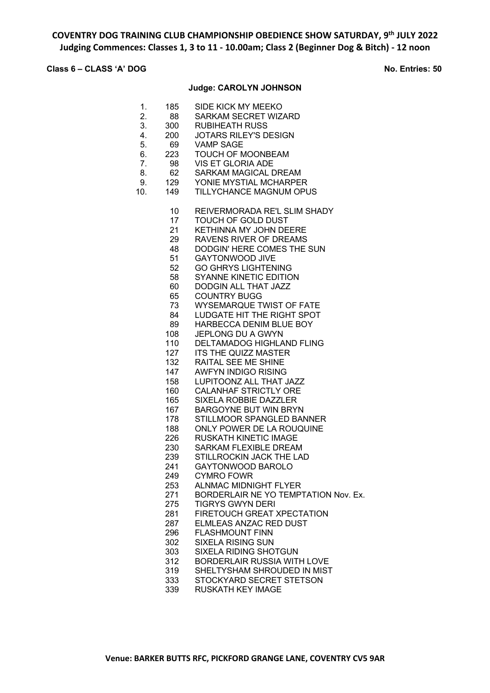# **Class 6 – CLASS 'A' DOG No. Entries: 50**

## **Judge: CAROLYN JOHNSON**

| 1.<br>2.<br>3.<br>4.<br>5.<br>6.<br>7.<br>8.<br>9.<br>10. | 185<br>88<br>300<br>200<br>69<br>223<br>98<br>62<br>129<br>149                                                                                                                                                                                                                 | SIDE KICK MY MEEKO<br><b>SARKAM SECRET WIZARD</b><br>RUBIHEATH RUSS<br><b>JOTARS RILEY'S DESIGN</b><br><b>VAMP SAGE</b><br><b>TOUCH OF MOONBEAM</b><br><b>VIS ET GLORIA ADE</b><br><b>SARKAM MAGICAL DREAM</b><br>YONIE MYSTIAL MCHARPER<br><b>TILLYCHANCE MAGNUM OPUS</b>                                                                                                                                                                                                                                                                                                                                                                                                                                                                                                                                                                                                                                                                                                                                                                                                                                                                                                                                                                   |
|-----------------------------------------------------------|--------------------------------------------------------------------------------------------------------------------------------------------------------------------------------------------------------------------------------------------------------------------------------|----------------------------------------------------------------------------------------------------------------------------------------------------------------------------------------------------------------------------------------------------------------------------------------------------------------------------------------------------------------------------------------------------------------------------------------------------------------------------------------------------------------------------------------------------------------------------------------------------------------------------------------------------------------------------------------------------------------------------------------------------------------------------------------------------------------------------------------------------------------------------------------------------------------------------------------------------------------------------------------------------------------------------------------------------------------------------------------------------------------------------------------------------------------------------------------------------------------------------------------------|
|                                                           | 10<br>17<br>21<br>29<br>48<br>51<br>52<br>58<br>60<br>65<br>73<br>84<br>89<br>108<br>110<br>127<br>132<br>147<br>158<br>160<br>165<br>167<br>178<br>188<br>226<br>230<br>239<br>241<br>249<br>253<br>271<br>275<br>281<br>287<br>296<br>302<br>303<br>312<br>319<br>333<br>339 | REIVERMORADA RE'L SLIM SHADY<br>TOUCH OF GOLD DUST<br><b>KETHINNA MY JOHN DEERE</b><br>RAVENS RIVER OF DREAMS<br>DODGIN' HERE COMES THE SUN<br><b>GAYTONWOOD JIVE</b><br><b>GO GHRYS LIGHTENING</b><br><b>SYANNE KINETIC EDITION</b><br>DODGIN ALL THAT JAZZ<br><b>COUNTRY BUGG</b><br><b>WYSEMARQUE TWIST OF FATE</b><br>LUDGATE HIT THE RIGHT SPOT<br>HARBECCA DENIM BLUE BOY<br><b>JEPLONG DU A GWYN</b><br><b>DELTAMADOG HIGHLAND FLING</b><br><b>ITS THE QUIZZ MASTER</b><br>RAITAL SEE ME SHINE<br><b>AWFYN INDIGO RISING</b><br>LUPITOONZ ALL THAT JAZZ<br><b>CALANHAF STRICTLY ORE</b><br><b>SIXELA ROBBIE DAZZLER</b><br><b>BARGOYNE BUT WIN BRYN</b><br>STILLMOOR SPANGLED BANNER<br>ONLY POWER DE LA ROUQUINE<br><b>RUSKATH KINETIC IMAGE</b><br><b>SARKAM FLEXIBLE DREAM</b><br>STILLROCKIN JACK THE LAD<br>GAYTONWOOD BAROLO<br><b>CYMRO FOWR</b><br><b>ALNMAC MIDNIGHT FLYER</b><br>BORDERLAIR NE YO TEMPTATION Nov. Ex.<br><b>TIGRYS GWYN DERI</b><br>FIRETOUCH GREAT XPECTATION<br>ELMLEAS ANZAC RED DUST<br><b>FLASHMOUNT FINN</b><br><b>SIXELA RISING SUN</b><br><b>SIXELA RIDING SHOTGUN</b><br><b>BORDERLAIR RUSSIA WITH LOVE</b><br>SHELTYSHAM SHROUDED IN MIST<br>STOCKYARD SECRET STETSON<br><b>RUSKATH KEY IMAGE</b> |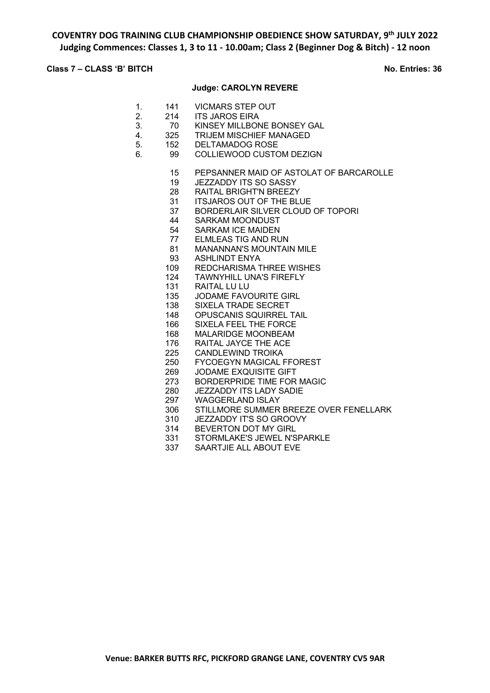### **Class 7 – CLASS 'B' BITCH No. Entries: 36**

#### **Judge: CAROLYN REVERE**

- 1. 141 VICMARS STEP OUT
- 2. 214 ITS JAROS EIRA<br>3. 70 KINSEY MILLBON
- 3. 70 KINSEY MILLBONE BONSEY GAL
- 4. 325 TRIJEM MISCHIEF MANAGED
- 5. 152 DELTAMADOG ROSE
- 6. 99 COLLIEWOOD CUSTOM DEZIGN
	- 15 PEPSANNER MAID OF ASTOLAT OF BARCAROLLE
	- 19 JEZZADDY ITS SO SASSY
	- 28 RAITAL BRIGHT'N BREEZY
	- 31 ITSJAROS OUT OF THE BLUE
	- 37 BORDERLAIR SILVER CLOUD OF TOPORI
	- 44 SARKAM MOONDUST<br>54 SARKAM ICE MAIDEN
	- SARKAM ICE MAIDEN
	- 77 ELMLEAS TIG AND RUN
	- 81 MANANNAN'S MOUNTAIN MILE
	- 93 ASHLINDT ENYA
	- 109 REDCHARISMA THREE WISHES
	- 124 TAWNYHILL UNA'S FIREFLY
	- 131 RAITAL LU LU
	- 135 JODAME FAVOURITE GIRL
	- 138 SIXELA TRADE SECRET
	- 148 OPUSCANIS SQUIRREL TAIL
	- 166 SIXELA FEEL THE FORCE
	- 168 MALARIDGE MOONBEAM
	- 176 RAITAL JAYCE THE ACE
	- 225 CANDLEWIND TROIKA
	- 250 FYCOEGYN MAGICAL FFOREST
	- 269 JODAME EXQUISITE GIFT
	- 273 BORDERPRIDE TIME FOR MAGIC
	- 280 JEZZADDY ITS LADY SADIE
	- 297 WAGGERLAND ISLAY
	- 306 STILLMORE SUMMER BREEZE OVER FENELLARK
	- 310 JEZZADDY IT'S SO GROOVY<br>314 BEVERTON DOT MY GIRI
	- BEVERTON DOT MY GIRL
	- 331 STORMLAKE'S JEWEL N'SPARKLE<br>337 SAARTJIE ALL ABOUT EVE
	- SAARTJIE ALL ABOUT EVE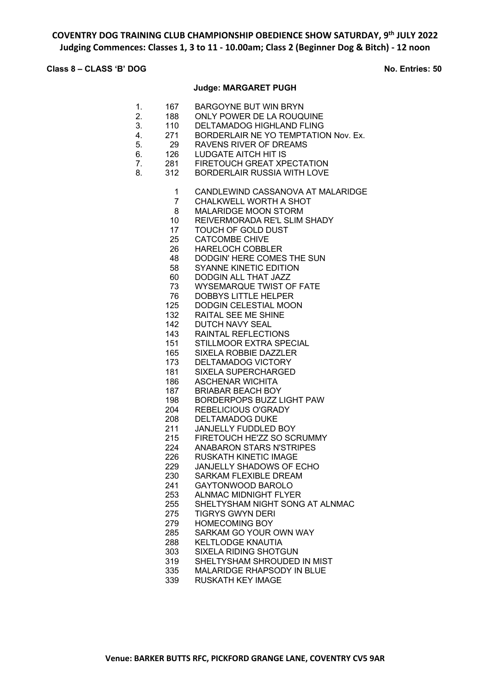# **Class 8 – CLASS 'B' DOG No. Entries: 50**

### **Judge: MARGARET PUGH**

| 1.<br>2.<br>3.<br>4.<br>5.<br>6.<br>7.<br>8. | 167<br>188<br>110<br>271<br>29<br>126<br>281<br>312                                                                                                                                                                                                                                       | <b>BARGOYNE BUT WIN BRYN</b><br>ONLY POWER DE LA ROUQUINE<br><b>DELTAMADOG HIGHLAND FLING</b><br>BORDERLAIR NE YO TEMPTATION Nov. Ex.<br><b>RAVENS RIVER OF DREAMS</b><br><b>LUDGATE AITCH HIT IS</b><br>FIRETOUCH GREAT XPECTATION<br><b>BORDERLAIR RUSSIA WITH LOVE</b>                                                                                                                                                                                                                                                                                                                                                                                                                                                                                                                                                                                                                                                                                                                                                                                                                                                                                                                                     |
|----------------------------------------------|-------------------------------------------------------------------------------------------------------------------------------------------------------------------------------------------------------------------------------------------------------------------------------------------|---------------------------------------------------------------------------------------------------------------------------------------------------------------------------------------------------------------------------------------------------------------------------------------------------------------------------------------------------------------------------------------------------------------------------------------------------------------------------------------------------------------------------------------------------------------------------------------------------------------------------------------------------------------------------------------------------------------------------------------------------------------------------------------------------------------------------------------------------------------------------------------------------------------------------------------------------------------------------------------------------------------------------------------------------------------------------------------------------------------------------------------------------------------------------------------------------------------|
|                                              | 1<br>7<br>8<br>10 <sup>1</sup><br>17<br>25<br>26<br>48<br>58<br>60<br>73<br>76<br>125<br>132<br>142<br>143<br>151<br>165<br>173<br>181<br>186<br>187<br>198<br>204<br>208<br>211<br>215<br>224<br>226<br>229<br>230<br>241<br>253<br>255<br>275<br>279<br>285<br>288<br>303<br>319<br>335 | CANDLEWIND CASSANOVA AT MALARIDGE<br>CHALKWELL WORTH A SHOT<br><b>MALARIDGE MOON STORM</b><br>REIVERMORADA RE'L SLIM SHADY<br>TOUCH OF GOLD DUST<br><b>CATCOMBE CHIVE</b><br><b>HARELOCH COBBLER</b><br>DODGIN' HERE COMES THE SUN<br><b>SYANNE KINETIC EDITION</b><br>DODGIN ALL THAT JAZZ<br><b>WYSEMARQUE TWIST OF FATE</b><br><b>DOBBYS LITTLE HELPER</b><br>DODGIN CELESTIAL MOON<br><b>RAITAL SEE ME SHINE</b><br>DUTCH NAVY SEAL<br><b>RAINTAL REFLECTIONS</b><br>STILLMOOR EXTRA SPECIAL<br>SIXELA ROBBIE DAZZLER<br>DELTAMADOG VICTORY<br><b>SIXELA SUPERCHARGED</b><br><b>ASCHENAR WICHITA</b><br><b>BRIABAR BEACH BOY</b><br><b>BORDERPOPS BUZZ LIGHT PAW</b><br><b>REBELICIOUS O'GRADY</b><br><b>DELTAMADOG DUKE</b><br><b>JANJELLY FUDDLED BOY</b><br>FIRETOUCH HE'ZZ SO SCRUMMY<br><b>ANABARON STARS N'STRIPES</b><br><b>RUSKATH KINETIC IMAGE</b><br>JANJELLY SHADOWS OF ECHO<br>SARKAM FLEXIBLE DREAM<br>GAYTONWOOD BAROLO<br><b>ALNMAC MIDNIGHT FLYER</b><br>SHELTYSHAM NIGHT SONG AT ALNMAC<br><b>TIGRYS GWYN DERI</b><br><b>HOMECOMING BOY</b><br>SARKAM GO YOUR OWN WAY<br>KELTLODGE KNAUTIA<br><b>SIXELA RIDING SHOTGUN</b><br>SHELTYSHAM SHROUDED IN MIST<br>MALARIDGE RHAPSODY IN BLUE |
|                                              | 339                                                                                                                                                                                                                                                                                       | <b>RUSKATH KEY IMAGE</b>                                                                                                                                                                                                                                                                                                                                                                                                                                                                                                                                                                                                                                                                                                                                                                                                                                                                                                                                                                                                                                                                                                                                                                                      |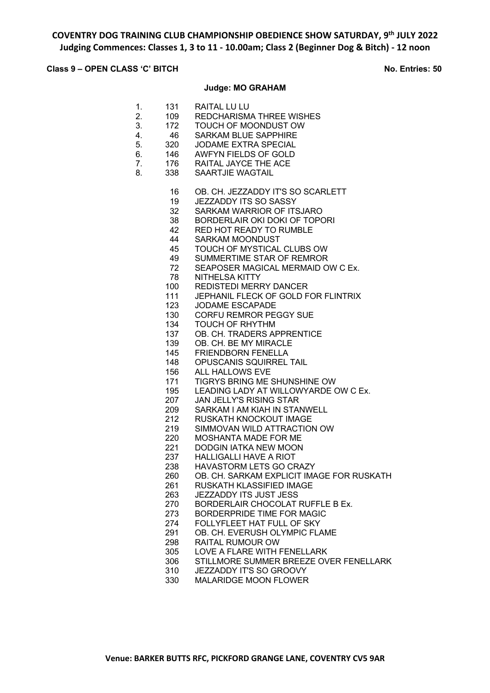## **Class 9 – OPEN CLASS 'C' BITCH No. Entries: 50**

### **Judge: MO GRAHAM**

| 1.<br>2.<br>3.<br>4.<br>5.<br>6.<br>7.<br>8. | 131<br>109<br>172<br>-46<br>320<br>146<br>176<br>338 | RAITAL LU LU<br><b>REDCHARISMA THREE WISHES</b><br>TOUCH OF MOONDUST OW<br><b>SARKAM BLUE SAPPHIRE</b><br><b>JODAME EXTRA SPECIAL</b><br><b>AWFYN FIELDS OF GOLD</b><br>RAITAL JAYCE THE ACE<br><b>SAARTJIE WAGTAIL</b> |
|----------------------------------------------|------------------------------------------------------|-------------------------------------------------------------------------------------------------------------------------------------------------------------------------------------------------------------------------|
|                                              | 16                                                   | OB. CH. JEZZADDY IT'S SO SCARLETT                                                                                                                                                                                       |
|                                              | 19                                                   | <b>JEZZADDY ITS SO SASSY</b>                                                                                                                                                                                            |
|                                              | 32                                                   | SARKAM WARRIOR OF ITSJARO                                                                                                                                                                                               |
|                                              | 38                                                   | <b>BORDERLAIR OKI DOKI OF TOPORI</b>                                                                                                                                                                                    |
|                                              | 42                                                   | RED HOT READY TO RUMBLE                                                                                                                                                                                                 |
|                                              | 44                                                   | <b>SARKAM MOONDUST</b>                                                                                                                                                                                                  |
|                                              | 45                                                   | TOUCH OF MYSTICAL CLUBS OW                                                                                                                                                                                              |
|                                              | 49                                                   | SUMMERTIME STAR OF REMROR                                                                                                                                                                                               |
|                                              | 72                                                   | SEAPOSER MAGICAL MERMAID OW C Ex.                                                                                                                                                                                       |
|                                              | 78<br>100                                            | NITHELSA KITTY<br><b>REDISTEDI MERRY DANCER</b>                                                                                                                                                                         |
|                                              | 111                                                  | JEPHANIL FLECK OF GOLD FOR FLINTRIX                                                                                                                                                                                     |
|                                              | 123                                                  | <b>JODAME ESCAPADE</b>                                                                                                                                                                                                  |
|                                              | 130                                                  | <b>CORFU REMROR PEGGY SUE</b>                                                                                                                                                                                           |
|                                              | 134                                                  | TOUCH OF RHYTHM                                                                                                                                                                                                         |
|                                              | 137                                                  | OB. CH. TRADERS APPRENTICE                                                                                                                                                                                              |
|                                              | 139                                                  | OB. CH. BE MY MIRACLE                                                                                                                                                                                                   |
|                                              | 145                                                  | <b>FRIENDBORN FENELLA</b>                                                                                                                                                                                               |
|                                              | 148                                                  | OPUSCANIS SQUIRREL TAIL                                                                                                                                                                                                 |
|                                              | 156                                                  | ALL HALLOWS EVE                                                                                                                                                                                                         |
|                                              | 171                                                  | TIGRYS BRING ME SHUNSHINE OW                                                                                                                                                                                            |
|                                              | 195                                                  | LEADING LADY AT WILLOWYARDE OW C Ex.                                                                                                                                                                                    |
|                                              | 207                                                  | <b>JAN JELLY'S RISING STAR</b>                                                                                                                                                                                          |
|                                              | 209                                                  | SARKAM I AM KIAH IN STANWELL                                                                                                                                                                                            |
|                                              | 212                                                  | RUSKATH KNOCKOUT IMAGE                                                                                                                                                                                                  |
|                                              | 219                                                  | SIMMOVAN WILD ATTRACTION OW                                                                                                                                                                                             |
|                                              | 220                                                  | MOSHANTA MADE FOR ME                                                                                                                                                                                                    |
|                                              | 221                                                  | <b>DODGIN IATKA NEW MOON</b>                                                                                                                                                                                            |
|                                              | 237                                                  | <b>HALLIGALLI HAVE A RIOT</b>                                                                                                                                                                                           |
|                                              | 238                                                  | HAVASTORM LETS GO CRAZY                                                                                                                                                                                                 |
|                                              | 260                                                  | OB. CH. SARKAM EXPLICIT IMAGE FOR RUSKATH                                                                                                                                                                               |
|                                              | 261                                                  | <b>RUSKATH KLASSIFIED IMAGE</b><br><b>JEZZADDY ITS JUST JESS</b>                                                                                                                                                        |
|                                              | 263                                                  |                                                                                                                                                                                                                         |
|                                              | 270<br>273                                           | BORDERLAIR CHOCOLAT RUFFLE B Ex.<br>BORDERPRIDE TIME FOR MAGIC                                                                                                                                                          |
|                                              | 274                                                  | FOLLYFLEET HAT FULL OF SKY                                                                                                                                                                                              |
|                                              | 291                                                  | OB. CH. EVERUSH OLYMPIC FLAME                                                                                                                                                                                           |
|                                              | 298                                                  | RAITAL RUMOUR OW                                                                                                                                                                                                        |
|                                              | 305                                                  | LOVE A FLARE WITH FENELLARK                                                                                                                                                                                             |
|                                              | 306                                                  | STILLMORE SUMMER BREEZE OVER FENELLARK                                                                                                                                                                                  |
|                                              | 310                                                  | JEZZADDY IT'S SO GROOVY                                                                                                                                                                                                 |
|                                              | າາດ                                                  | MALADIDOE MOONLELOMIED                                                                                                                                                                                                  |

MALARIDGE MOON FLOWER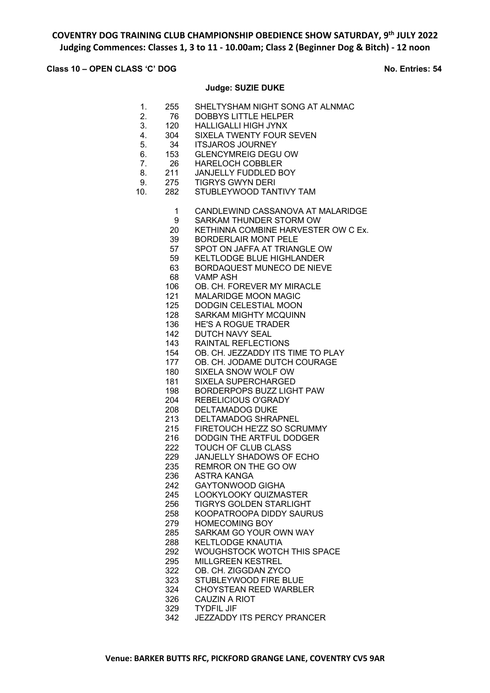### **Class 10 – OPEN CLASS 'C' DOG No. Entries: 54**

#### **Judge: SUZIE DUKE**

- 1. 255 SHELTYSHAM NIGHT SONG AT ALNMAC
- 2. 76 DOBBYS LITTLE HELPER
- 3. 120 HALLIGALLI HIGH JYNX
- 4. 304 SIXELA TWENTY FOUR SEVEN
- 5. 34 ITSJAROS JOURNEY
- 6. 153 GLENCYMREIG DEGU OW
- 7. 26 HARELOCH COBBLER
- 8. 211 JANJELLY FUDDLED BOY
- 9. 275 TIGRYS GWYN DERI
- 10. 282 STUBLEYWOOD TANTIVY TAM
	- CANDLEWIND CASSANOVA AT MALARIDGE
	- SARKAM THUNDER STORM OW
	- KETHINNA COMBINE HARVESTER OW C Ex.
	- BORDERLAIR MONT PELE
	- SPOT ON JAFFA AT TRIANGLE OW
	- KELTLODGE BLUE HIGHLANDER
	- BORDAQUEST MUNECO DE NIEVE
	- VAMP ASH
	- OB. CH. FOREVER MY MIRACLE
	- MALARIDGE MOON MAGIC
	- DODGIN CELESTIAL MOON
	- SARKAM MIGHTY MCQUINN
	- HE'S A ROGUE TRADER
	- DUTCH NAVY SEAL
	- RAINTAL REFLECTIONS
	- OB. CH. JEZZADDY ITS TIME TO PLAY
	- OB. CH. JODAME DUTCH COURAGE
	- SIXELA SNOW WOLF OW
	- SIXELA SUPERCHARGED
	- BORDERPOPS BUZZ LIGHT PAW
	- REBELICIOUS O'GRADY
	- DELTAMADOG DUKE
	- DELTAMADOG SHRAPNEL
	- FIRETOUCH HE'ZZ SO SCRUMMY
	- DODGIN THE ARTFUL DODGER
	- TOUCH OF CLUB CLASS
	- JANJELLY SHADOWS OF ECHO
	- REMROR ON THE GO OW
	- ASTRA KANGA
	- GAYTONWOOD GIGHA
	- LOOKYLOOKY QUIZMASTER
	- TIGRYS GOLDEN STARLIGHT
	- KOOPATROOPA DIDDY SAURUS
	- HOMECOMING BOY
	- SARKAM GO YOUR OWN WAY
	- KELTLODGE KNAUTIA
	- WOUGHSTOCK WOTCH THIS SPACE
	- MILLGREEN KESTREL
	- OB. CH. ZIGGDAN ZYCO
	- STUBLEYWOOD FIRE BLUE
	- CHOYSTEAN REED WARBLER
	- 326 CAUZIN A RIOT<br>329 TYDFIL JIF
	- **TYDFIL JIF**
	- JEZZADDY ITS PERCY PRANCER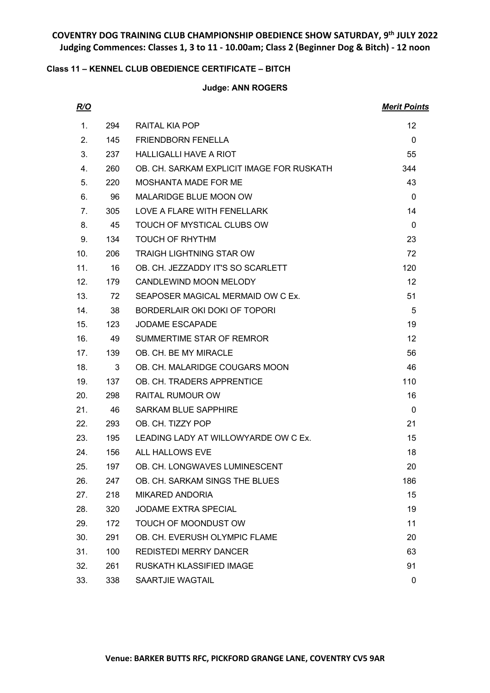## **Class 11 – KENNEL CLUB OBEDIENCE CERTIFICATE – BITCH**

## **Judge: ANN ROGERS**

| R/O             |     |                                           | <b>Merit Points</b> |
|-----------------|-----|-------------------------------------------|---------------------|
| 1.              | 294 | RAITAL KIA POP                            | $12 \overline{ }$   |
| 2.              | 145 | <b>FRIENDBORN FENELLA</b>                 | $\Omega$            |
| 3.              | 237 | <b>HALLIGALLI HAVE A RIOT</b>             | 55                  |
| 4.              | 260 | OB. CH. SARKAM EXPLICIT IMAGE FOR RUSKATH | 344                 |
| 5.              | 220 | MOSHANTA MADE FOR ME                      | 43                  |
| 6.              | 96  | MALARIDGE BLUE MOON OW                    | $\Omega$            |
| 7.              | 305 | LOVE A FLARE WITH FENELLARK               | 14                  |
| 8.              | 45  | TOUCH OF MYSTICAL CLUBS OW                | $\Omega$            |
| 9.              | 134 | <b>TOUCH OF RHYTHM</b>                    | 23                  |
| 10 <sub>1</sub> | 206 | <b>TRAIGH LIGHTNING STAR OW</b>           | 72                  |
| 11.             | 16  | OB. CH. JEZZADDY IT'S SO SCARLETT         | 120                 |
| 12.             | 179 | CANDLEWIND MOON MELODY                    | $12 \overline{ }$   |
| 13.             | 72  | SEAPOSER MAGICAL MERMAID OW C Ex.         | 51                  |
| 14.             | 38  | BORDERLAIR OKI DOKI OF TOPORI             | 5                   |
| 15.             | 123 | <b>JODAME ESCAPADE</b>                    | 19                  |
| 16.             | 49  | SUMMERTIME STAR OF REMROR                 | 12                  |
| 17 <sub>1</sub> | 139 | OB. CH. BE MY MIRACLE                     | 56                  |
| 18.             | 3   | OB. CH. MALARIDGE COUGARS MOON            | 46                  |
| 19.             | 137 | OB. CH. TRADERS APPRENTICE                | 110                 |
| 20.             | 298 | RAITAL RUMOUR OW                          | 16                  |
| 21.             | 46  | <b>SARKAM BLUE SAPPHIRE</b>               | $\mathbf{0}$        |
| 22.             | 293 | OB. CH. TIZZY POP                         | 21                  |
| 23.             | 195 | LEADING LADY AT WILLOWYARDE OW C Ex.      | 15                  |
| 24.             | 156 | ALL HALLOWS EVE                           | 18                  |
| 25.             | 197 | OB. CH. LONGWAVES LUMINESCENT             | 20                  |
| 26.             | 247 | OB. CH. SARKAM SINGS THE BLUES            | 186                 |
| 27.             | 218 | <b>MIKARED ANDORIA</b>                    | 15                  |
| 28.             | 320 | JODAME EXTRA SPECIAL                      | 19                  |
| 29.             | 172 | TOUCH OF MOONDUST OW                      | 11                  |
| 30.             | 291 | OB. CH. EVERUSH OLYMPIC FLAME             | 20                  |
| 31.             | 100 | <b>REDISTEDI MERRY DANCER</b>             | 63                  |
| 32.             | 261 | <b>RUSKATH KLASSIFIED IMAGE</b>           | 91                  |
| 33.             | 338 | SAARTJIE WAGTAIL                          | 0                   |